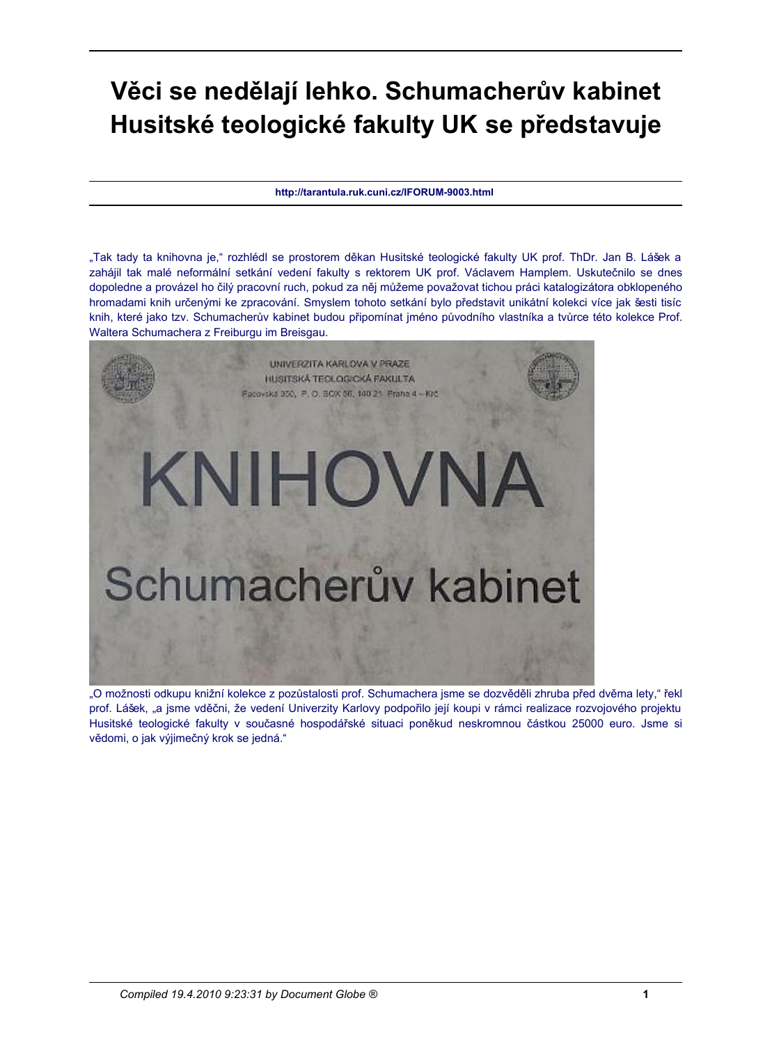## Věci se nedělají lehko. Schumacherův kabinet Husitské teologické fakulty UK se představuje

http://tarantula.ruk.cuni.cz/IFORUM-9003.html

"Tak tady ta knihovna je," rozhlédl se prostorem děkan Husitské teologické fakulty UK prof. ThDr. Jan B. Lášek a zahájil tak malé neformální setkání vedení fakulty s rektorem UK prof. Václavem Hamplem. Uskutečnilo se dnes dopoledne a provázel ho čilý pracovní ruch, pokud za něj můžeme považovat tichou práci katalogizátora obklopeného hromadami knih určenými ke zpracování. Smyslem tohoto setkání bylo představit unikátní kolekci více jak šesti tisíc knih, které jako tzv. Schumacherův kabinet budou připomínat jméno původního vlastníka a tvůrce této kolekce Prof. Waltera Schumachera z Freiburgu im Breisgau.



"O možnosti odkupu knižní kolekce z pozůstalosti prof. Schumachera jsme se dozvěděli zhruba před dvěma lety," řekl prof. Lášek, "a jsme vděčni, že vedení Univerzity Karlovy podpořilo její koupi v rámci realizace rozvojového projektu Husitské teologické fakulty v současné hospodářské situaci poněkud neskromnou částkou 25000 euro. Jsme si vědomi, o jak výjimečný krok se jedná."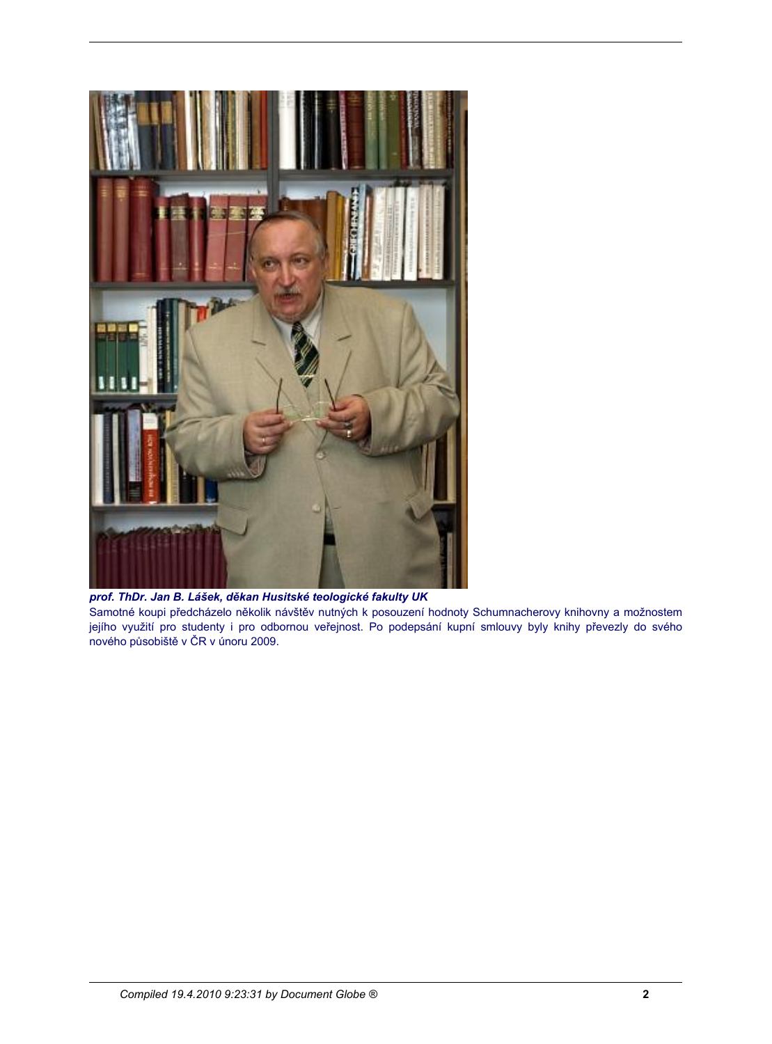

prof. ThDr. Jan B. Lášek, děkan Husitské teologické fakulty UK Samotné koupi předcházelo několik návštěv nutných k posouzení hodnoty Schumnacherovy knihovny a možnostem jejího využití pro studenty i pro odbornou veřejnost. Po podepsání kupní smlouvy byly knihy převezly do svého nového působiště v ČR v únoru 2009.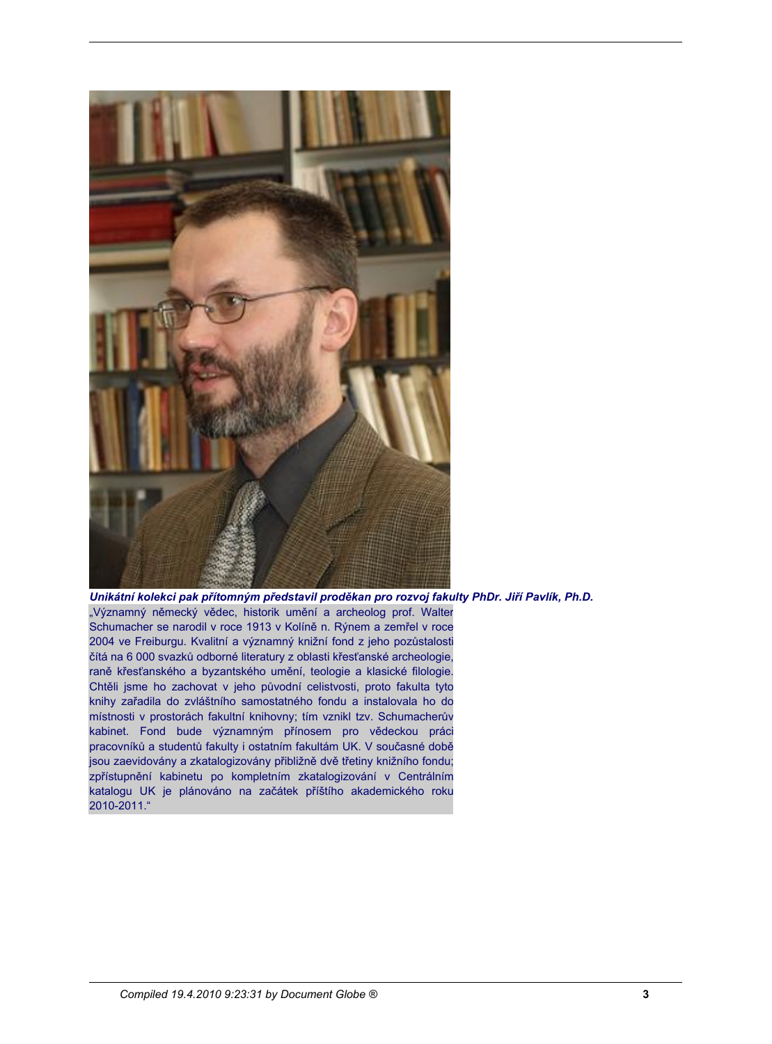

Unikátní kolekci pak přítomným představil proděkan pro rozvoj fakulty PhDr. Jiří Pavlík, Ph.D. "Významný německý vědec, historik umění a archeolog prof. Walter Schumacher se narodil v roce 1913 v Kolíně n. Rýnem a zemřel v roce 2004 ve Freiburgu. Kvalitní a významný knižní fond z jeho pozůstalosti čítá na 6 000 svazků odborné literatury z oblasti křesťanské archeologie, raně křesťanského a byzantského umění, teologie a klasické filologie. Chtěli jsme ho zachovat v jeho původní celistvosti, proto fakulta tyto knihy zařadila do zvláštního samostatného fondu a instalovala ho do místnosti v prostorách fakultní knihovny; tím vznikl tzv. Schumacherův kabinet. Fond bude významným přínosem pro vědeckou práci pracovníků a studentů fakulty i ostatním fakultám UK. V současné době jsou zaevidovány a zkatalogizovány přibližně dvě třetiny knižního fondu; zpřístupnění kabinetu po kompletním zkatalogizování v Centrálním katalogu UK je plánováno na začátek příštího akademického roku 2010-2011."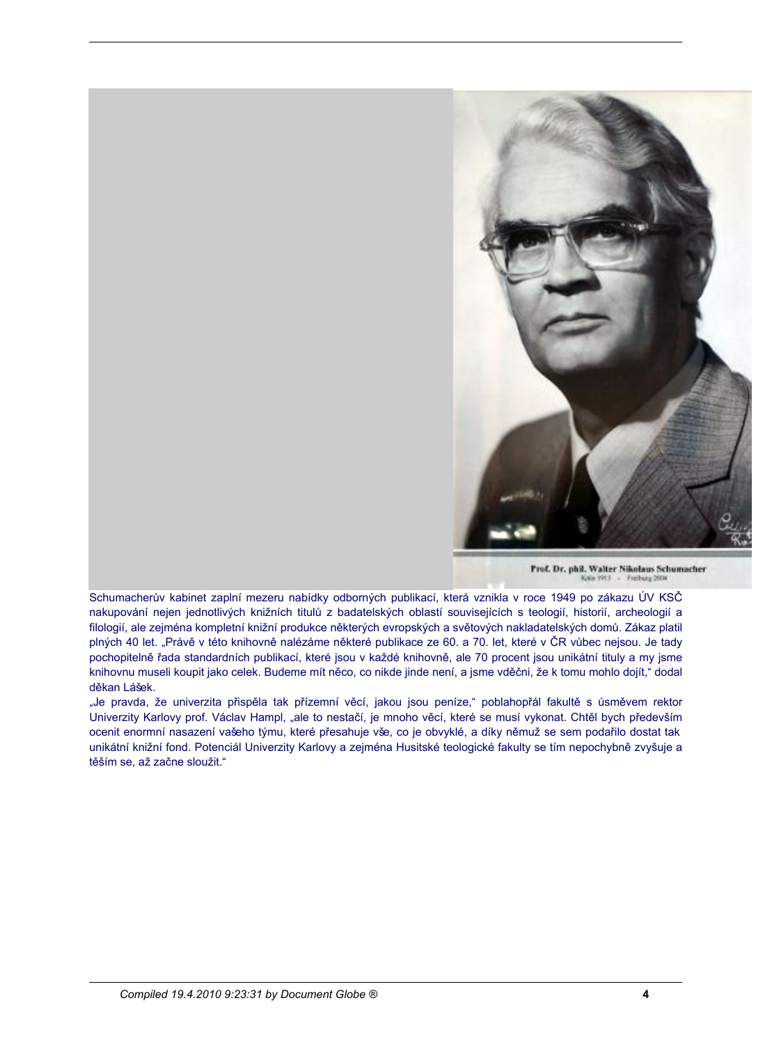

Prof. Dr. phil. Walter Nikolaus Schumacher

.<br>Schumacherův kabinet zaplní mezeru nabídky odborných publikací, která vznikla v roce 1949 po zákazu ÚV KSČ nakupování nejen jednotlivých knižních titulů z badatelských oblastí souvisejících s teologií, historií, archeologií a filologií, ale zejména kompletní knižní produkce některých evropských a světových nakladatelských domů. Zákaz platil plných 40 let. "Právě v této knihovně nalézáme některé publikace ze 60. a 70. let, které v ČR vůbec nejsou. Je tady pochopitelně řada standardních publikací, které jsou v každé knihovně, ale 70 procent jsou unikátní tituly a my jsme knihovnu museli koupit jako celek. Budeme mít něco, co nikde jinde není, a jsme vděčni, že k tomu mohlo dojít," dodal děkan Lášek.

"Je pravda, že univerzita přispěla tak přízemní věcí, jakou jsou peníze," poblahopřál fakultě s úsměvem rektor Univerzity Karlovy prof. Václav Hampl, "ale to nestačí, je mnoho věcí, které se musí vykonat. Chtěl bych především ocenit enormní nasazení vašeho týmu, které přesahuje vše, co je obvyklé, a díky němuž se sem podařilo dostat tak unikátní knižní fond. Potenciál Univerzity Karlovy a zejména Husitské teologické fakulty se tím nepochybně zvyšuje a těším se, až začne sloužit."